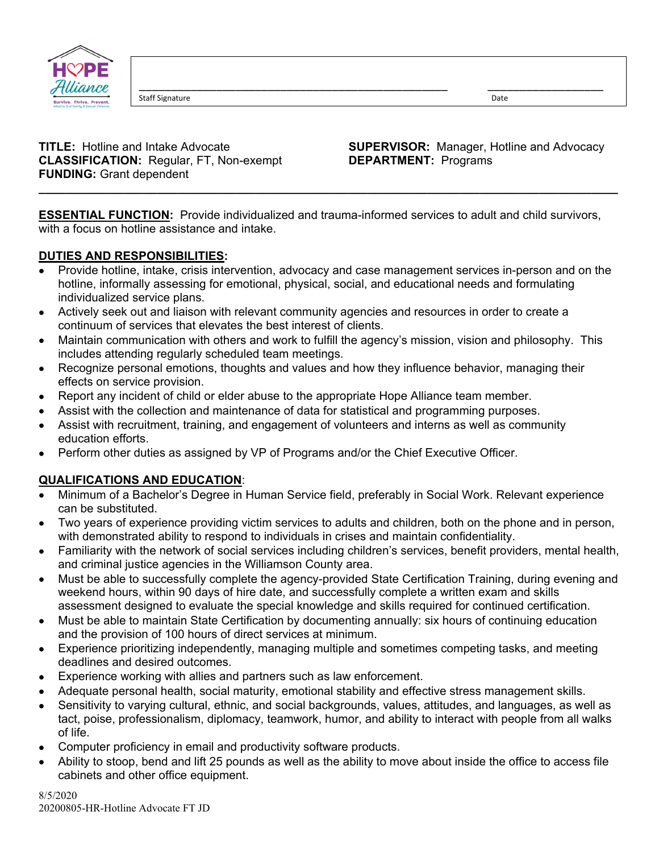

Staff Signature **Date** 

**CLASSIFICATION:** Regular, FT, Non-exempt **DEPARTMENT:** Programs **FUNDING:** Grant dependent

**TITLE:** Hotline and Intake Advocate **SUPERVISOR:** Manager, Hotline and Advocacy

**ESSENTIAL FUNCTION:** Provide individualized and trauma-informed services to adult and child survivors, with a focus on hotline assistance and intake.

**\_\_\_\_\_\_\_\_\_\_\_\_\_\_\_\_\_\_\_\_\_\_\_\_\_\_\_\_\_\_\_\_\_\_\_\_\_\_\_\_\_\_\_\_\_\_\_\_\_\_\_\_\_\_\_\_\_\_\_\_\_\_\_\_\_\_\_\_\_\_\_\_\_\_\_\_\_\_\_\_\_\_\_\_\_\_\_\_** 

\_\_\_\_\_\_\_\_\_\_\_\_\_\_\_\_\_\_\_\_\_\_\_\_\_\_\_\_\_\_\_\_\_\_\_\_\_\_\_\_\_\_\_\_\_\_\_\_ \_\_\_\_\_\_\_\_\_\_\_\_\_\_\_\_\_\_

## **DUTIES AND RESPONSIBILITIES:**

- Provide hotline, intake, crisis intervention, advocacy and case management services in-person and on the hotline, informally assessing for emotional, physical, social, and educational needs and formulating individualized service plans.
- Actively seek out and liaison with relevant community agencies and resources in order to create a continuum of services that elevates the best interest of clients.
- Maintain communication with others and work to fulfill the agency's mission, vision and philosophy. This includes attending regularly scheduled team meetings.
- Recognize personal emotions, thoughts and values and how they influence behavior, managing their effects on service provision.
- Report any incident of child or elder abuse to the appropriate Hope Alliance team member.
- Assist with the collection and maintenance of data for statistical and programming purposes.
- Assist with recruitment, training, and engagement of volunteers and interns as well as community education efforts.
- Perform other duties as assigned by VP of Programs and/or the Chief Executive Officer.

## **QUALIFICATIONS AND EDUCATION**:

- Minimum of a Bachelor's Degree in Human Service field, preferably in Social Work. Relevant experience can be substituted.
- Two years of experience providing victim services to adults and children, both on the phone and in person, with demonstrated ability to respond to individuals in crises and maintain confidentiality.
- Familiarity with the network of social services including children's services, benefit providers, mental health, and criminal justice agencies in the Williamson County area.
- Must be able to successfully complete the agency-provided State Certification Training, during evening and weekend hours, within 90 days of hire date, and successfully complete a written exam and skills assessment designed to evaluate the special knowledge and skills required for continued certification.
- Must be able to maintain State Certification by documenting annually: six hours of continuing education and the provision of 100 hours of direct services at minimum.
- Experience prioritizing independently, managing multiple and sometimes competing tasks, and meeting deadlines and desired outcomes.
- Experience working with allies and partners such as law enforcement.
- Adequate personal health, social maturity, emotional stability and effective stress management skills.
- Sensitivity to varying cultural, ethnic, and social backgrounds, values, attitudes, and languages, as well as tact, poise, professionalism, diplomacy, teamwork, humor, and ability to interact with people from all walks of life.
- Computer proficiency in email and productivity software products.
- Ability to stoop, bend and lift 25 pounds as well as the ability to move about inside the office to access file cabinets and other office equipment.